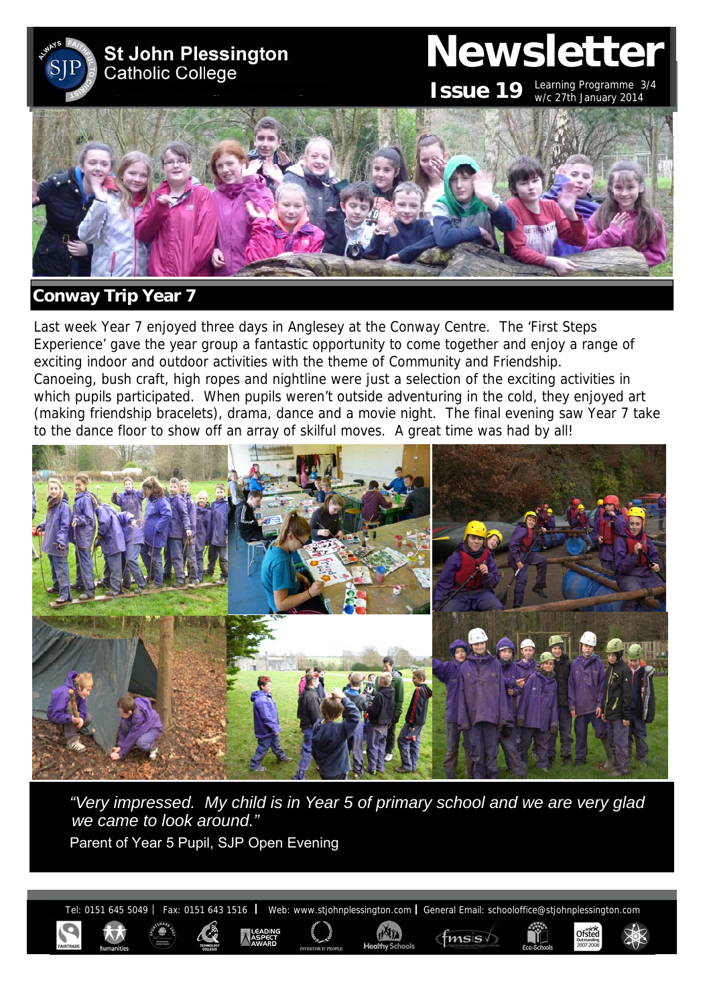

# **Newsletter**

Ofsted

**ISSUE 19** Learning Programme 3/4 w/c 27th January 2014



# **Conway Trip Year 7**

Last week Year 7 enjoyed three days in Anglesey at the Conway Centre. The 'First Steps Experience' gave the year group a fantastic opportunity to come together and enjoy a range of exciting indoor and outdoor activities with the theme of Community and Friendship. Canoeing, bush craft, high ropes and nightline were just a selection of the exciting activities in which pupils participated. When pupils weren't outside adventuring in the cold, they enjoyed art (making friendship bracelets), drama, dance and a movie night. The final evening saw Year 7 take to the dance floor to show off an array of skilful moves. A great time was had by all!



*"Very impressed. My child is in Year 5 of primary school and we are very glad we came to look around."*  Parent of Year 5 Pupil, SJP Open Evening

Tel: 0151 645 5049 | Fax: 0151 643 1516 | Web: www.stjohnplessington.com | General Email: schooloffice@stjohnplessington.com

 $f$ msis $\sqrt$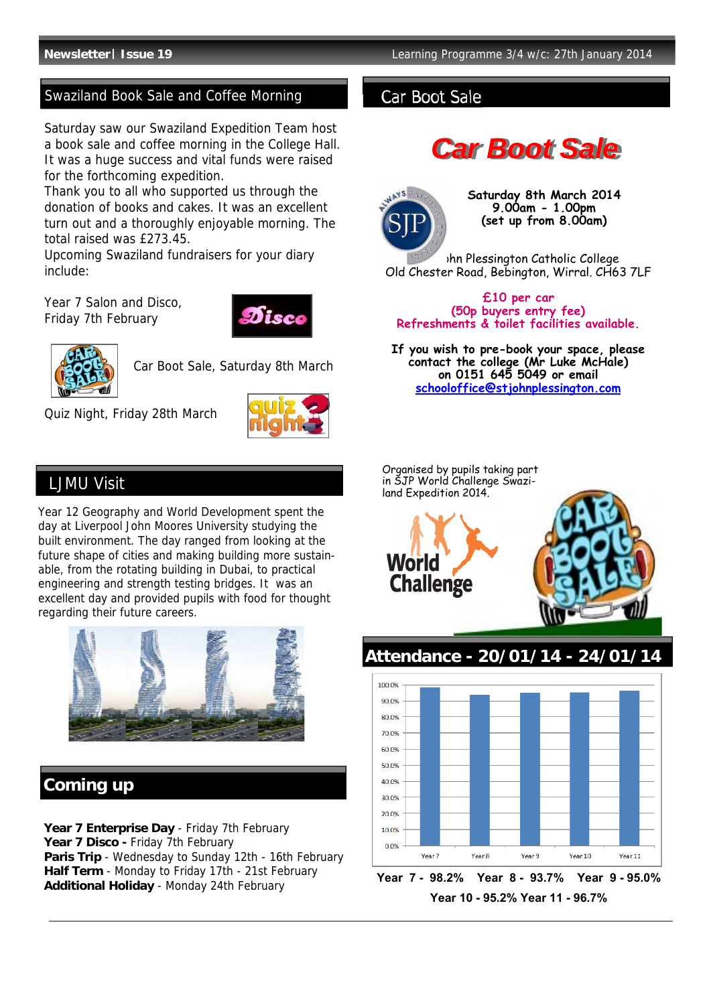# Swaziland Book Sale and Coffee Morning **Car Boot Sale**

Saturday saw our Swaziland Expedition Team host a book sale and coffee morning in the College Hall. It was a huge success and vital funds were raised for the forthcoming expedition.

Thank you to all who supported us through the donation of books and cakes. It was an excellent turn out and a thoroughly enjoyable morning. The total raised was £273.45.

Upcoming Swaziland fundraisers for your diary include:

Year 7 Salon and Disco, Friday 7th February





Car Boot Sale, Saturday 8th March

Quiz Night, Friday 28th March



# LJMU Visit

Year 12 Geography and World Development spent the day at Liverpool John Moores University studying the built environment. The day ranged from looking at the future shape of cities and making building more sustainable, from the rotating building in Dubai, to practical engineering and strength testing bridges. It was an excellent day and provided pupils with food for thought regarding their future careers.



# **Coming up**

Year 7 Enterprise Day - Friday 7th February Year 7 Disco - Friday 7th February **Paris Trip** - Wednesday to Sunday 12th - 16th February **Half Term** - Monday to Friday 17th - 21st February **Additional Holiday** - Monday 24th February

# *Car Boot Sale*



 **Saturday 8th March 2014 9.00am - 1.00pm (set up from 8.00am)** 

Ihn Plessington Catholic College Old Chester Road, Bebington, Wirral. CH63 7LF

### **£10 per car (50p buyers entry fee) Refreshments & toilet facilities available.**

**If you wish to pre-book your space, please contact the college (Mr Luke McHale) on 0151 645 5049 or email schooloffice@stjohnplessington.com** 



**Year 7 - 98.2% Year 8 - 93.7% Year 9 - 95.0% Year 10 - 95.2% Year 11 - 96.7%** 

Year 9

Vear 10

Year 11

Vear 8

 $0.0%$ 

Year 7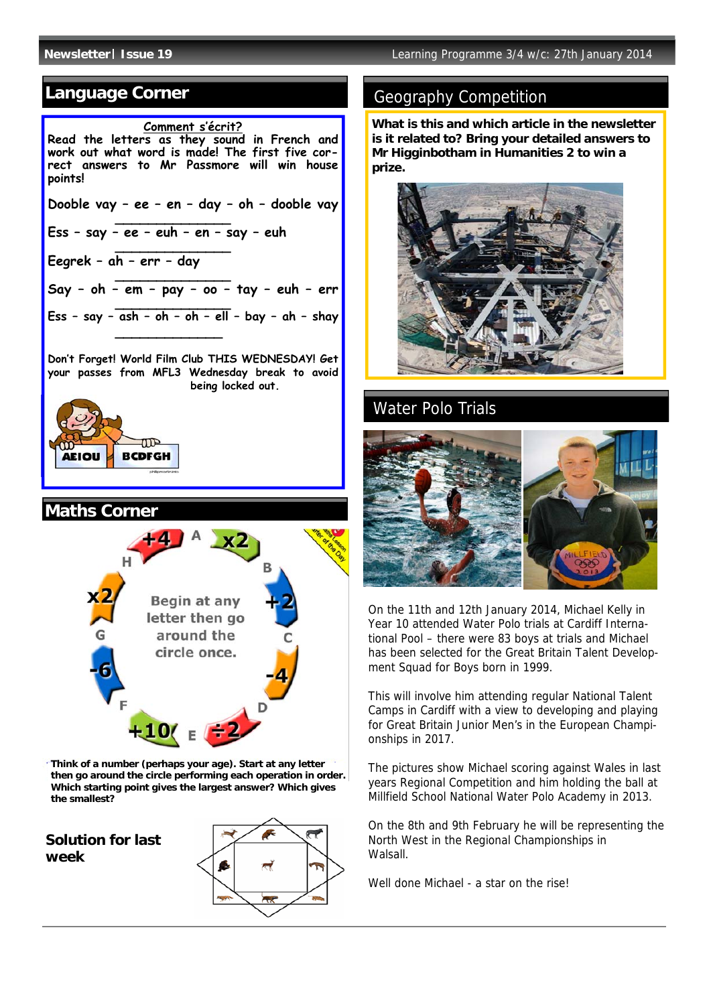# **Language Corner**

## **Comment s'écrit? Read the letters as they sound in French and work out what word is made! The first five correct answers to Mr Passmore will win house points! Dooble vay – ee – en – day – oh – dooble vay \_\_\_\_\_\_\_\_\_\_\_\_\_\_ Ess – say – ee – euh – en – say – euh \_\_\_\_\_\_\_\_\_\_\_\_\_\_ Eegrek – ah – err – day \_\_\_\_\_\_\_\_\_\_\_\_\_\_ Say – oh – em – pay – oo – tay – euh – err \_\_\_\_\_\_\_\_\_\_\_\_\_\_ Ess – say – ash – oh – oh – ell – bay – ah – shay \_\_\_\_\_\_\_\_\_\_\_\_\_**

**Don't Forget! World Film Club THIS WEDNESDAY! Get your passes from MFL3 Wednesday break to avoid being locked out.**







**Think of a number (perhaps your age). Start at any letter then go around the circle performing each operation in order. Which starting point gives the largest answer? Which gives the smallest?** 

**Solution for last week** 



# Geography Competition

**What is this and which article in the newsletter is it related to? Bring your detailed answers to Mr Higginbotham in Humanities 2 to win a prize.**



# Water Polo Trials



On the 11th and 12th January 2014, Michael Kelly in Year 10 attended Water Polo trials at Cardiff International Pool – there were 83 boys at trials and Michael has been selected for the Great Britain Talent Development Squad for Boys born in 1999.

This will involve him attending regular National Talent Camps in Cardiff with a view to developing and playing for Great Britain Junior Men's in the European Championships in 2017.

The pictures show Michael scoring against Wales in last years Regional Competition and him holding the ball at Millfield School National Water Polo Academy in 2013.

On the 8th and 9th February he will be representing the North West in the Regional Championships in Walsall.

Well done Michael - a star on the rise!